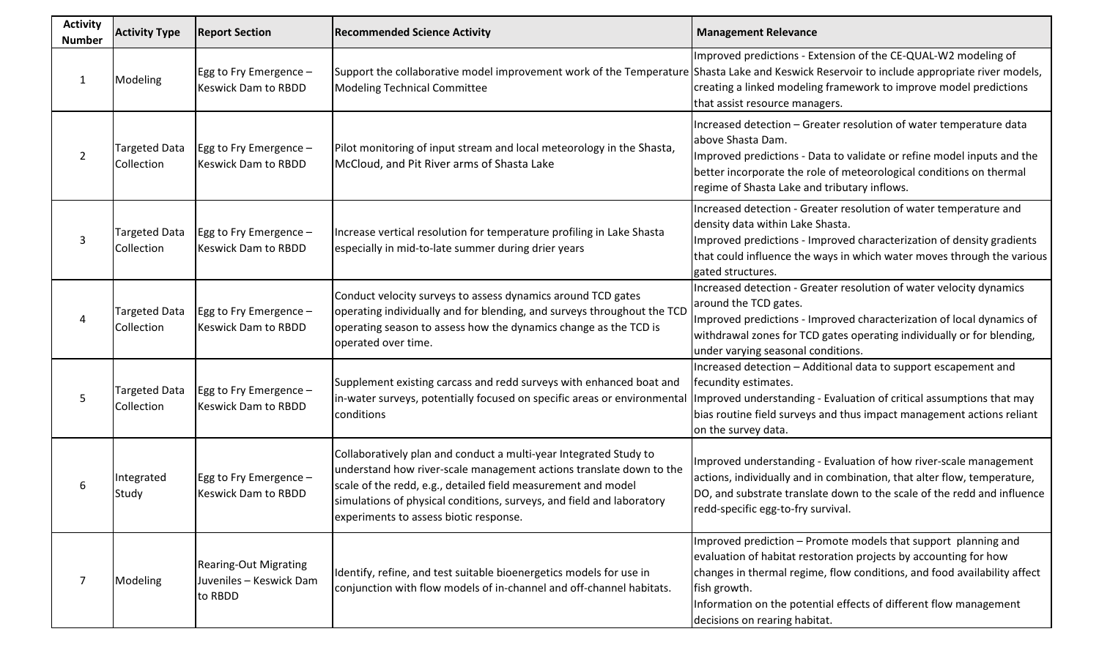| <b>Activity</b><br><b>Number</b> | <b>Activity Type</b>               | <b>Report Section</b>                                              | <b>Recommended Science Activity</b>                                                                                                                                                                                                                                                                                          | <b>Management Relevance</b>                                                                                                                                                                                                                                                                                                          |
|----------------------------------|------------------------------------|--------------------------------------------------------------------|------------------------------------------------------------------------------------------------------------------------------------------------------------------------------------------------------------------------------------------------------------------------------------------------------------------------------|--------------------------------------------------------------------------------------------------------------------------------------------------------------------------------------------------------------------------------------------------------------------------------------------------------------------------------------|
| $\mathbf{1}$                     | Modeling                           | Egg to Fry Emergence -<br><b>Keswick Dam to RBDD</b>               | Support the collaborative model improvement work of the Temperature Shasta Lake and Keswick Reservoir to include appropriate river models,<br><b>Modeling Technical Committee</b>                                                                                                                                            | Improved predictions - Extension of the CE-QUAL-W2 modeling of<br>creating a linked modeling framework to improve model predictions<br>that assist resource managers.                                                                                                                                                                |
| $\overline{2}$                   | Targeted Data<br>Collection        | Egg to Fry Emergence -<br><b>Keswick Dam to RBDD</b>               | Pilot monitoring of input stream and local meteorology in the Shasta,<br>McCloud, and Pit River arms of Shasta Lake                                                                                                                                                                                                          | Increased detection - Greater resolution of water temperature data<br>above Shasta Dam.<br>Improved predictions - Data to validate or refine model inputs and the<br>better incorporate the role of meteorological conditions on thermal<br>regime of Shasta Lake and tributary inflows.                                             |
| 3                                | <b>Targeted Data</b><br>Collection | Egg to Fry Emergence -<br><b>Keswick Dam to RBDD</b>               | Increase vertical resolution for temperature profiling in Lake Shasta<br>especially in mid-to-late summer during drier years                                                                                                                                                                                                 | Increased detection - Greater resolution of water temperature and<br>density data within Lake Shasta.<br>Improved predictions - Improved characterization of density gradients<br>that could influence the ways in which water moves through the various<br>gated structures.                                                        |
| 4                                | <b>Targeted Data</b><br>Collection | Egg to Fry Emergence $-$<br><b>Keswick Dam to RBDD</b>             | Conduct velocity surveys to assess dynamics around TCD gates<br>operating individually and for blending, and surveys throughout the TCD<br>operating season to assess how the dynamics change as the TCD is<br>operated over time.                                                                                           | Increased detection - Greater resolution of water velocity dynamics<br>around the TCD gates.<br>Improved predictions - Improved characterization of local dynamics of<br>withdrawal zones for TCD gates operating individually or for blending,<br>under varying seasonal conditions.                                                |
| 5                                | <b>Targeted Data</b><br>Collection | Egg to Fry Emergence $-$<br><b>Keswick Dam to RBDD</b>             | Supplement existing carcass and redd surveys with enhanced boat and<br>in-water surveys, potentially focused on specific areas or environmental<br>conditions                                                                                                                                                                | Increased detection - Additional data to support escapement and<br>fecundity estimates.<br>Improved understanding - Evaluation of critical assumptions that may<br>bias routine field surveys and thus impact management actions reliant<br>on the survey data.                                                                      |
| 6                                | Integrated<br>Study                | Egg to Fry Emergence $-$<br><b>Keswick Dam to RBDD</b>             | Collaboratively plan and conduct a multi-year Integrated Study to<br>understand how river-scale management actions translate down to the<br>scale of the redd, e.g., detailed field measurement and model<br>simulations of physical conditions, surveys, and field and laboratory<br>experiments to assess biotic response. | Improved understanding - Evaluation of how river-scale management<br>actions, individually and in combination, that alter flow, temperature,<br>DO, and substrate translate down to the scale of the redd and influence<br>redd-specific egg-to-fry survival.                                                                        |
| $\overline{7}$                   | Modeling                           | <b>Rearing-Out Migrating</b><br>Juveniles - Keswick Dam<br>to RBDD | Identify, refine, and test suitable bioenergetics models for use in<br>conjunction with flow models of in-channel and off-channel habitats.                                                                                                                                                                                  | Improved prediction - Promote models that support planning and<br>evaluation of habitat restoration projects by accounting for how<br>changes in thermal regime, flow conditions, and food availability affect<br>fish growth.<br>Information on the potential effects of different flow management<br>decisions on rearing habitat. |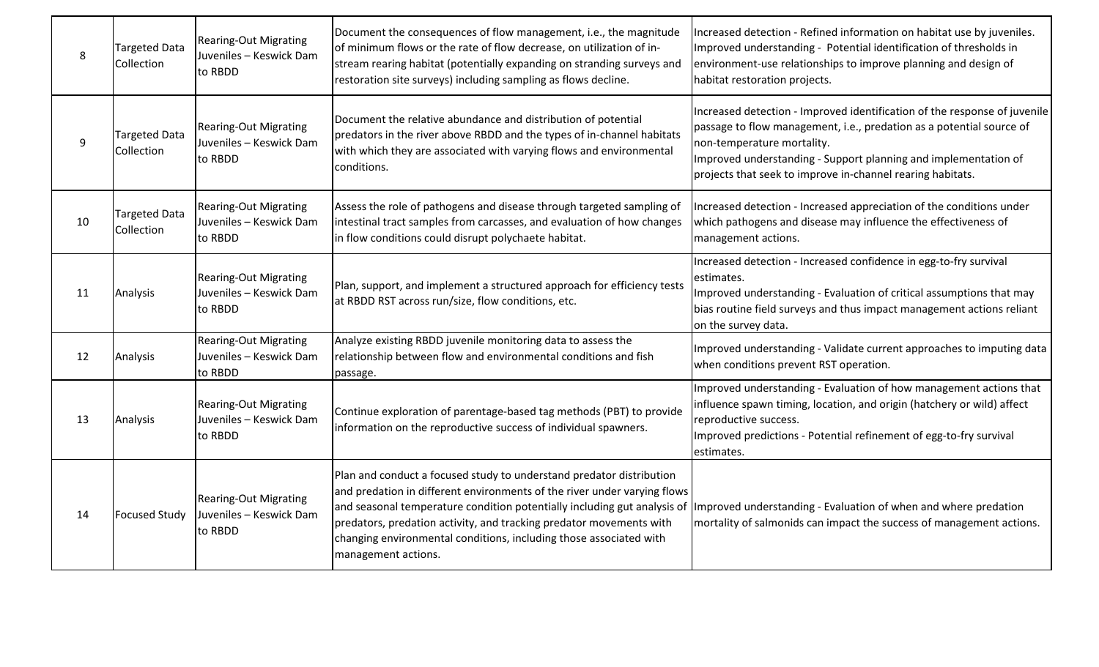| 8  | <b>Targeted Data</b><br>Collection | <b>Rearing-Out Migrating</b><br>Juveniles - Keswick Dam<br>to RBDD | Document the consequences of flow management, i.e., the magnitude<br>of minimum flows or the rate of flow decrease, on utilization of in-<br>stream rearing habitat (potentially expanding on stranding surveys and<br>restoration site surveys) including sampling as flows decline.                                                                                                                                                                             | Increased detection - Refined information on habitat use by juveniles.<br>Improved understanding - Potential identification of thresholds in<br>environment-use relationships to improve planning and design of<br>habitat restoration projects.                                                                 |
|----|------------------------------------|--------------------------------------------------------------------|-------------------------------------------------------------------------------------------------------------------------------------------------------------------------------------------------------------------------------------------------------------------------------------------------------------------------------------------------------------------------------------------------------------------------------------------------------------------|------------------------------------------------------------------------------------------------------------------------------------------------------------------------------------------------------------------------------------------------------------------------------------------------------------------|
| 9  | <b>Targeted Data</b><br>Collection | <b>Rearing-Out Migrating</b><br>Juveniles - Keswick Dam<br>to RBDD | Document the relative abundance and distribution of potential<br>predators in the river above RBDD and the types of in-channel habitats<br>with which they are associated with varying flows and environmental<br>conditions.                                                                                                                                                                                                                                     | Increased detection - Improved identification of the response of juvenile<br>passage to flow management, i.e., predation as a potential source of<br>non-temperature mortality.<br>Improved understanding - Support planning and implementation of<br>projects that seek to improve in-channel rearing habitats. |
| 10 | <b>Targeted Data</b><br>Collection | <b>Rearing-Out Migrating</b><br>Juveniles - Keswick Dam<br>to RBDD | Assess the role of pathogens and disease through targeted sampling of<br>intestinal tract samples from carcasses, and evaluation of how changes<br>in flow conditions could disrupt polychaete habitat.                                                                                                                                                                                                                                                           | Increased detection - Increased appreciation of the conditions under<br>which pathogens and disease may influence the effectiveness of<br>management actions.                                                                                                                                                    |
| 11 | Analysis                           | <b>Rearing-Out Migrating</b><br>Juveniles - Keswick Dam<br>to RBDD | Plan, support, and implement a structured approach for efficiency tests<br>at RBDD RST across run/size, flow conditions, etc.                                                                                                                                                                                                                                                                                                                                     | Increased detection - Increased confidence in egg-to-fry survival<br>estimates.<br>Improved understanding - Evaluation of critical assumptions that may<br>bias routine field surveys and thus impact management actions reliant<br>on the survey data.                                                          |
| 12 | Analysis                           | <b>Rearing-Out Migrating</b><br>Juveniles - Keswick Dam<br>to RBDD | Analyze existing RBDD juvenile monitoring data to assess the<br>relationship between flow and environmental conditions and fish<br>passage.                                                                                                                                                                                                                                                                                                                       | Improved understanding - Validate current approaches to imputing data<br>when conditions prevent RST operation.                                                                                                                                                                                                  |
| 13 | Analysis                           | <b>Rearing-Out Migrating</b><br>Juveniles - Keswick Dam<br>to RBDD | Continue exploration of parentage-based tag methods (PBT) to provide<br>information on the reproductive success of individual spawners.                                                                                                                                                                                                                                                                                                                           | Improved understanding - Evaluation of how management actions that<br>influence spawn timing, location, and origin (hatchery or wild) affect<br>reproductive success.<br>Improved predictions - Potential refinement of egg-to-fry survival<br>estimates.                                                        |
| 14 | <b>Focused Study</b>               | <b>Rearing-Out Migrating</b><br>Juveniles - Keswick Dam<br>to RBDD | Plan and conduct a focused study to understand predator distribution<br>and predation in different environments of the river under varying flows<br>and seasonal temperature condition potentially including gut analysis of limproved understanding - Evaluation of when and where predation<br>predators, predation activity, and tracking predator movements with<br>changing environmental conditions, including those associated with<br>management actions. | mortality of salmonids can impact the success of management actions.                                                                                                                                                                                                                                             |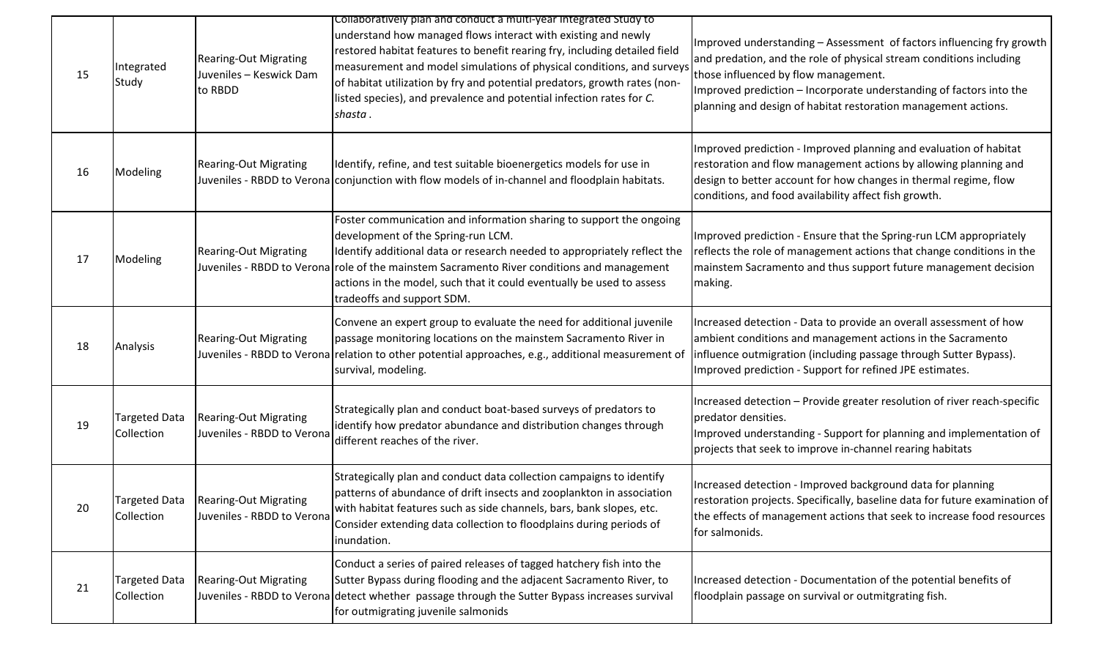| 15 | Integrated<br>Study         | <b>Rearing-Out Migrating</b><br>Juveniles - Keswick Dam<br>to RBDD  | Collaboratively plan and conduct a multi-year Integrated Study to<br>understand how managed flows interact with existing and newly<br>restored habitat features to benefit rearing fry, including detailed field<br>measurement and model simulations of physical conditions, and surveys<br>of habitat utilization by fry and potential predators, growth rates (non-<br>listed species), and prevalence and potential infection rates for C.<br>shasta. | Improved understanding – Assessment of factors influencing fry growth<br>and predation, and the role of physical stream conditions including<br>those influenced by flow management.<br>Improved prediction – Incorporate understanding of factors into the<br>planning and design of habitat restoration management actions. |
|----|-----------------------------|---------------------------------------------------------------------|-----------------------------------------------------------------------------------------------------------------------------------------------------------------------------------------------------------------------------------------------------------------------------------------------------------------------------------------------------------------------------------------------------------------------------------------------------------|-------------------------------------------------------------------------------------------------------------------------------------------------------------------------------------------------------------------------------------------------------------------------------------------------------------------------------|
| 16 | Modeling                    | <b>Rearing-Out Migrating</b>                                        | Identify, refine, and test suitable bioenergetics models for use in<br>Juveniles - RBDD to Verona conjunction with flow models of in-channel and floodplain habitats.                                                                                                                                                                                                                                                                                     | Improved prediction - Improved planning and evaluation of habitat<br>restoration and flow management actions by allowing planning and<br>design to better account for how changes in thermal regime, flow<br>conditions, and food availability affect fish growth.                                                            |
| 17 | Modeling                    | <b>Rearing-Out Migrating</b>                                        | Foster communication and information sharing to support the ongoing<br>development of the Spring-run LCM.<br>Identify additional data or research needed to appropriately reflect the<br>Juveniles - RBDD to Verona role of the mainstem Sacramento River conditions and management<br>actions in the model, such that it could eventually be used to assess<br>tradeoffs and support SDM.                                                                | Improved prediction - Ensure that the Spring-run LCM appropriately<br>reflects the role of management actions that change conditions in the<br>mainstem Sacramento and thus support future management decision<br>making.                                                                                                     |
| 18 | Analysis                    | <b>Rearing-Out Migrating</b>                                        | Convene an expert group to evaluate the need for additional juvenile<br>passage monitoring locations on the mainstem Sacramento River in<br>Juveniles - RBDD to Verona relation to other potential approaches, e.g., additional measurement of<br>survival, modeling.                                                                                                                                                                                     | Increased detection - Data to provide an overall assessment of how<br>ambient conditions and management actions in the Sacramento<br>influence outmigration (including passage through Sutter Bypass).<br>Improved prediction - Support for refined JPE estimates.                                                            |
| 19 | Targeted Data<br>Collection | <b>Rearing-Out Migrating</b><br>Juveniles - RBDD to Verona          | Strategically plan and conduct boat-based surveys of predators to<br>identify how predator abundance and distribution changes through<br>different reaches of the river.                                                                                                                                                                                                                                                                                  | Increased detection - Provide greater resolution of river reach-specific<br>predator densities.<br>Improved understanding - Support for planning and implementation of<br>projects that seek to improve in-channel rearing habitats                                                                                           |
| 20 | Collection                  | Targeted Data   Rearing-Out Migrating<br>Juveniles - RBDD to Verona | Strategically plan and conduct data collection campaigns to identify<br>patterns of abundance of drift insects and zooplankton in association<br>with habitat features such as side channels, bars, bank slopes, etc.<br>Consider extending data collection to floodplains during periods of<br>inundation.                                                                                                                                               | Increased detection - Improved background data for planning<br>restoration projects. Specifically, baseline data for future examination of<br>the effects of management actions that seek to increase food resources<br>for salmonids.                                                                                        |
| 21 | Targeted Data<br>Collection | <b>Rearing-Out Migrating</b>                                        | Conduct a series of paired releases of tagged hatchery fish into the<br>Sutter Bypass during flooding and the adjacent Sacramento River, to<br>Juveniles - RBDD to Verona detect whether passage through the Sutter Bypass increases survival<br>for outmigrating juvenile salmonids                                                                                                                                                                      | Increased detection - Documentation of the potential benefits of<br>floodplain passage on survival or outmitgrating fish.                                                                                                                                                                                                     |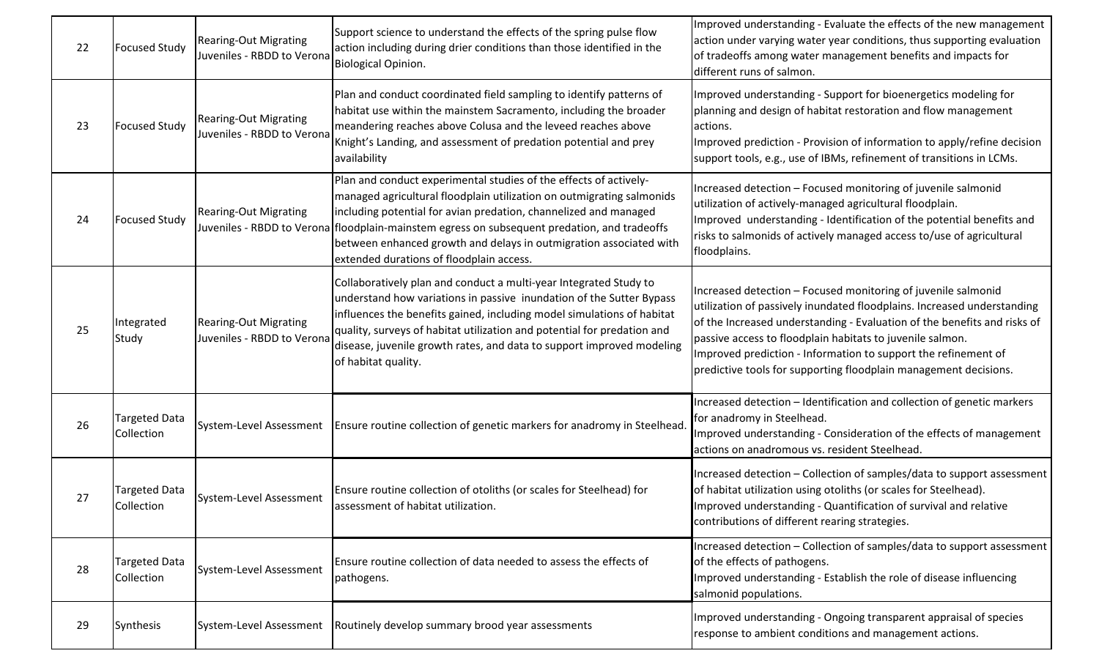| 22 | <b>Focused Study</b>               | <b>Rearing-Out Migrating</b><br>Juveniles - RBDD to Verona | Support science to understand the effects of the spring pulse flow<br>action including during drier conditions than those identified in the<br><b>Biological Opinion.</b>                                                                                                                                                                                                                                                        | Improved understanding - Evaluate the effects of the new management<br>action under varying water year conditions, thus supporting evaluation<br>of tradeoffs among water management benefits and impacts for<br>different runs of salmon.                                                                                                                                                                              |
|----|------------------------------------|------------------------------------------------------------|----------------------------------------------------------------------------------------------------------------------------------------------------------------------------------------------------------------------------------------------------------------------------------------------------------------------------------------------------------------------------------------------------------------------------------|-------------------------------------------------------------------------------------------------------------------------------------------------------------------------------------------------------------------------------------------------------------------------------------------------------------------------------------------------------------------------------------------------------------------------|
| 23 | <b>Focused Study</b>               | <b>Rearing-Out Migrating</b><br>Juveniles - RBDD to Verona | Plan and conduct coordinated field sampling to identify patterns of<br>habitat use within the mainstem Sacramento, including the broader<br>meandering reaches above Colusa and the leveed reaches above<br>Knight's Landing, and assessment of predation potential and prey<br>availability                                                                                                                                     | Improved understanding - Support for bioenergetics modeling for<br>planning and design of habitat restoration and flow management<br>actions.<br>Improved prediction - Provision of information to apply/refine decision<br>support tools, e.g., use of IBMs, refinement of transitions in LCMs.                                                                                                                        |
| 24 | <b>Focused Study</b>               | Rearing-Out Migrating                                      | Plan and conduct experimental studies of the effects of actively-<br>managed agricultural floodplain utilization on outmigrating salmonids<br>including potential for avian predation, channelized and managed<br>Juveniles - RBDD to Verona floodplain-mainstem egress on subsequent predation, and tradeoffs<br>between enhanced growth and delays in outmigration associated with<br>extended durations of floodplain access. | Increased detection - Focused monitoring of juvenile salmonid<br>utilization of actively-managed agricultural floodplain.<br>Improved understanding - Identification of the potential benefits and<br>risks to salmonids of actively managed access to/use of agricultural<br>floodplains.                                                                                                                              |
| 25 | Integrated<br>Study                | <b>Rearing-Out Migrating</b><br>Juveniles - RBDD to Verona | Collaboratively plan and conduct a multi-year Integrated Study to<br>understand how variations in passive inundation of the Sutter Bypass<br>influences the benefits gained, including model simulations of habitat<br>quality, surveys of habitat utilization and potential for predation and<br>disease, juvenile growth rates, and data to support improved modeling<br>of habitat quality.                                   | Increased detection - Focused monitoring of juvenile salmonid<br>utilization of passively inundated floodplains. Increased understanding<br>of the Increased understanding - Evaluation of the benefits and risks of<br>passive access to floodplain habitats to juvenile salmon.<br>Improved prediction - Information to support the refinement of<br>predictive tools for supporting floodplain management decisions. |
| 26 | Targeted Data<br>Collection        | System-Level Assessment                                    | Ensure routine collection of genetic markers for anadromy in Steelhead                                                                                                                                                                                                                                                                                                                                                           | Increased detection - Identification and collection of genetic markers<br>for anadromy in Steelhead.<br>Improved understanding - Consideration of the effects of management<br>actions on anadromous vs. resident Steelhead.                                                                                                                                                                                            |
| 27 | <b>Targeted Data</b><br>Collection | System-Level Assessment                                    | Ensure routine collection of otoliths (or scales for Steelhead) for<br>assessment of habitat utilization.                                                                                                                                                                                                                                                                                                                        | Increased detection - Collection of samples/data to support assessment<br>of habitat utilization using otoliths (or scales for Steelhead).<br>Improved understanding - Quantification of survival and relative<br>contributions of different rearing strategies.                                                                                                                                                        |
| 28 | <b>Targeted Data</b><br>Collection | System-Level Assessment                                    | Ensure routine collection of data needed to assess the effects of<br>pathogens.                                                                                                                                                                                                                                                                                                                                                  | Increased detection - Collection of samples/data to support assessment<br>of the effects of pathogens.<br>Improved understanding - Establish the role of disease influencing<br>salmonid populations.                                                                                                                                                                                                                   |
| 29 | Synthesis                          | System-Level Assessment                                    | Routinely develop summary brood year assessments                                                                                                                                                                                                                                                                                                                                                                                 | Improved understanding - Ongoing transparent appraisal of species<br>response to ambient conditions and management actions.                                                                                                                                                                                                                                                                                             |